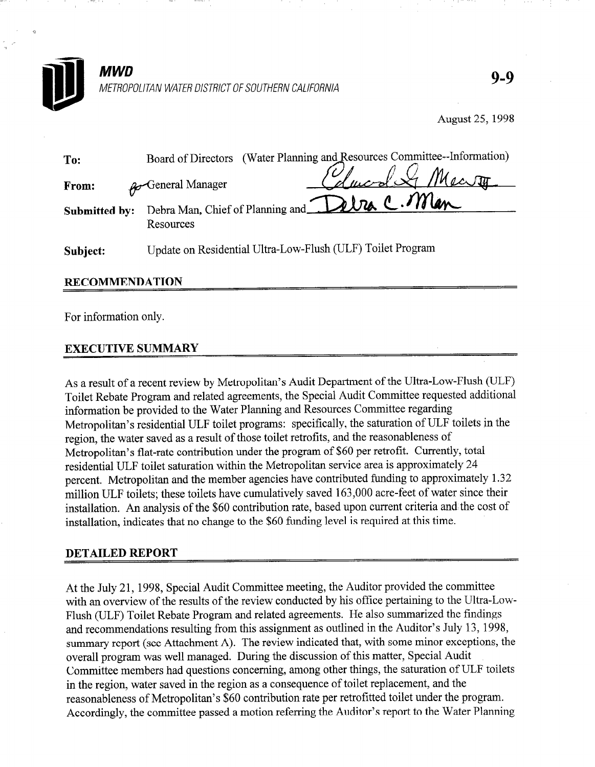

August 25, 1998

| To:           | Board of Directors (Water Planning and Resources Committee--Information) |
|---------------|--------------------------------------------------------------------------|
| From:         | Clausde Mearth<br><b>A</b> General Manager                               |
| Submitted by: | Debra Man, Chief of Planning and Debra C. Man<br>Resources               |
| Subject:      | Update on Residential Ultra-Low-Flush (ULF) Toilet Program               |

#### RECOMMENDATION

For information only.

### EXECUTIVE SUMMARY

As a result of a recent review by Metropolitan's Audit Department of the Ultra-Low-Flush (ULF) Toilet Rebate Program and related agreements, the Special Audit Committee requested additional information be provided to the Water Planning and Resources Committee regarding Metropolitan's residential ULF toilet programs: specifically, the saturation of ULF toilets in the region, the water saved as a result of those toilet retrofits, and the reasonableness of Metropolitan's flat-rate contribution under the program of \$60 per retrofit. Currently, total residential ULF toilet saturation within the Metropolitan service area is approximately 24 percent. Metropolitan and the member agencies have contributed funding to approximately 1.32 million ULF toilets; these toilets have cumulatively saved 163,000 acre-feet of water since their installation. An analysis of the \$60 contribution rate, based upon current criteria and the cost of installation, indicates that no change to the \$60 funding level is required at this time.

#### DETAILED REPORT

At the July 21, 1998, Special Audit Committee meeting, the Auditor provided the committee with an overview of the results of the review conducted by his office pertaining to the Ultra-Low-Flush (ULF) Toilet Rebate Program and related agreements. He also summarized the findings and recommendations resulting from this assignment as outlined in the Auditor's July 13, 1998, summary report (see Attachment A). The review indicated that, with some minor exceptions, the overall program was well managed. During the discussion of this matter, Special Audit Committee members had questions concerning, among other things, the saturation of ULF toilets in the region, water saved in the region as a consequence of toilet replacement, and the reasonableness of Metropolitan's \$60 contribution rate per retrofitted toilet under the program. Accordingly, the committee passed a motion referring the Auditor's report to the Water Planning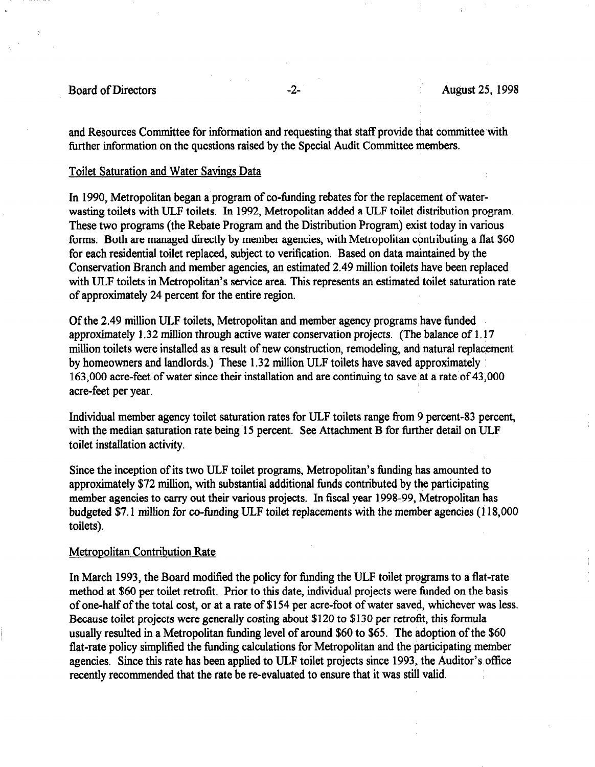# Board of Directors -2- August 25, 1998

and Resources Committee for information and requesting that staff provide that committee 'with further information on the questions raised by the Special Audit Committee members.

#### Toilet Saturation and Water Savings Data

In 1990, Metropolitan began a program of co-tinding rebates for the replacement of waterwasting toilets with ULF toilets. In 1992, Metropolitan added a ULF toilet distribution program. These two programs (the Rebate Program and the Distribution Program) exist today in various forms. Both are managed directly by member agencies, with Metropolitan contributing a flat \$60 for each residential toilet replaced, subject to verification. Based on data maintained by the Conservation Branch and member agencies, an estimated 2.49 million toilets have been replaced with ULF toilets in Metropolitan's service area. This represents an estimated toilet saturation rate of approximately 24 percent for the entire region.

Of the 2.49 million ULF toilets, Metropolitan and member agency programs have funded approximately 1.32 million through active water conservation projects. (The balance of 1.17 million toilets were installed as a result of new construction, remodeling, and natural replacement by homeowners and landlords.) These 1.32 million ULF toilets have saved approximately 163,000 acre-feet of water since their installation and are continuing to save at a rate of 43,000 acre-feet per year.

Individual member agency toilet saturation rates for ULF toilets range from 9 percent-83 percent,  $\frac{1}{2}$  method agency to the saturation rates for OLF to held range from 9 percent-85 percent.  $\frac{1}{2}$ with the median saturation rate being 15 percent. See Attachment B for further detail on ULF toilet installation activity.

Since the inception of its two ULF toilet programs, Metropolitan's funding has amounted to Since the inception of its two ULF toilet programs, wetropolitants funding has amounted to approximately \$72 million, with substantial additional funds contributed by the participating member agencies to carry out their various projects. In fiscal year 1998-99, Metropolitan has budgeted \$7.1 million for co-funding ULF toilet replacements with the member agencies (118,000 toilets).

In March 1993, the Board modified the policy for funding the ULF toilet programs to a flat-rate method at \$60 per toilet retrofit. Prior to this date, individual projects were funded on the basis of one-half of the total cost, or at a rate of \$154 per acre-foot of water saved, whichever was less. Because toilet projects were generally costing about \$120 to \$130 per retrofit, this formula usually resulted in a Metropolitan funding level of around \$60 to \$65. The adoption of the \$60 flat-rate policy simplified the funding calculations for Metropolitan and the participating member agencies. Since this rate has been applied to ULF toilet projects since 1993, the Auditor's office recently recommended that the rate be re-evaluated to ensure that it was still valid.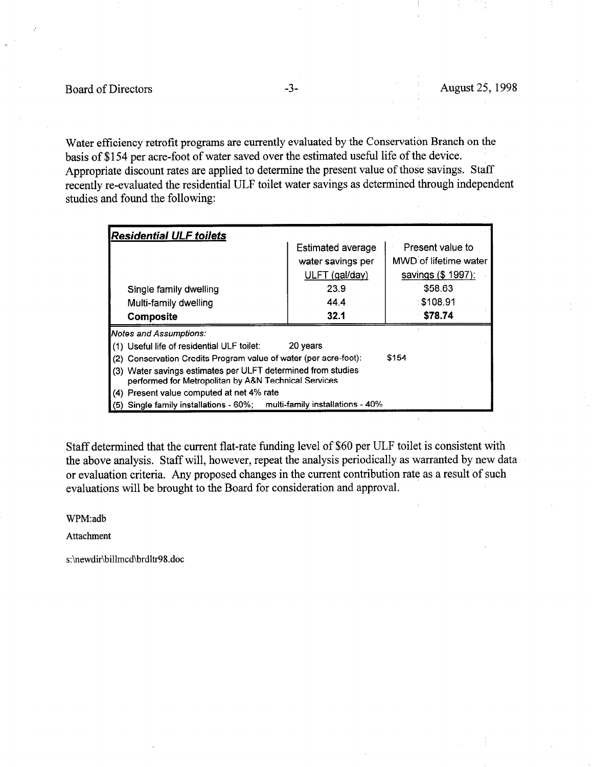Water efficiency retrofit programs are currently evaluated by the Conservation Branch on the basis of \$154 per acre-foot of water saved over the estimated useful life of the device. Appropriate discount rates are applied to determine the present value of those savings. Staff recently re-evaluated the residential ULF toilet water savings as determined through independent studies and found the following:

| <b>Residential ULF toilets</b>                                                                                          |                          |                       |  |  |  |
|-------------------------------------------------------------------------------------------------------------------------|--------------------------|-----------------------|--|--|--|
|                                                                                                                         | <b>Estimated average</b> | Present value to      |  |  |  |
|                                                                                                                         | water savings per        | MWD of lifetime water |  |  |  |
|                                                                                                                         | ULFT (gal/day)           | savings (\$ 1997):    |  |  |  |
| Single family dwelling                                                                                                  | 23.9                     | \$58.63               |  |  |  |
| Multi-family dwelling                                                                                                   | 44.4                     | \$108.91              |  |  |  |
| <b>Composite</b>                                                                                                        | 32.1                     | \$78.74               |  |  |  |
| <b>Notes and Assumptions:</b>                                                                                           |                          |                       |  |  |  |
| (1) Useful life of residential ULF toilet:                                                                              | 20 years                 |                       |  |  |  |
| (2) Conservation Credits Program value of water (per acre-foot):                                                        | \$154                    |                       |  |  |  |
| Water savings estimates per ULFT determined from studies<br>(3)<br>performed for Metropolitan by A&N Technical Services |                          |                       |  |  |  |
| (4) Present value computed at net 4% rate                                                                               |                          |                       |  |  |  |
| multi-family installations - 40%<br>(5) Single family installations - 60%;                                              |                          |                       |  |  |  |

Staff determined that the current flat-rate funding level of \$60 per ULF toilet is consistent with the above analysis. Staff will, however, repeat the analysis periodically as warranted by new data or evaluation criteria. Any proposed changes in the current contribution rate as a result of such evaluations will be brought to the Board for consideration and approval.

WPM:adb

Attachment

s:\newdir\billmcd\brdltr98.doc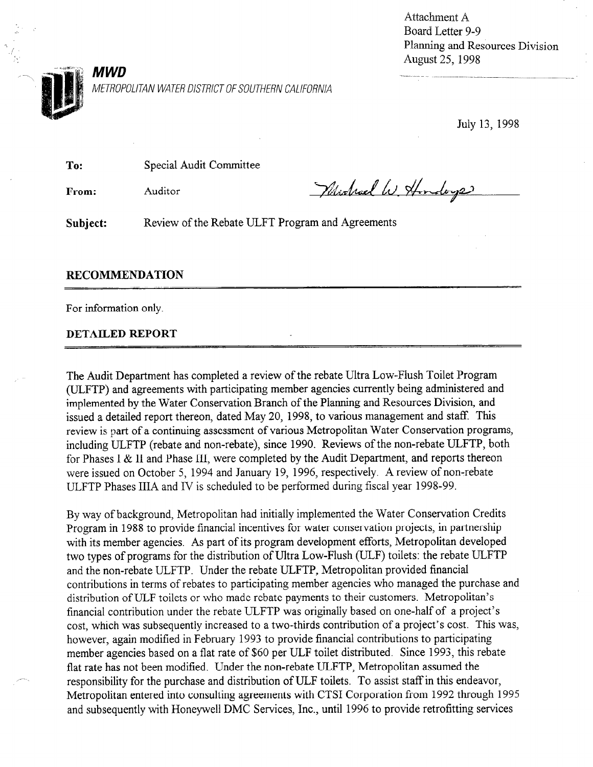Attachment A Board Letter 9-9 Planning and Resources Division August 25, 1998



**MWD** 

METROPOLITAN WATER DISTRICT OF SOUTHERN CALIFORNIA

July 13, 1998

----~--\_\_-. -

To: Special Audit Committee

From: Auditor

Michael W. Honderge

Subject: Review of the Rebate ULFT Program and Agreements

#### RECOMMENDATION

For information only.

#### DETAILED REPORT

The Audit Department has completed a review of the rebate Ultra Low-Flush Toilet Program (ULFTP) and agreements with participating member agencies currently being administered and implemented by the Water Conservation Branch of the Planning and Resources Division, and issued a detailed report thereon, dated May 20, 1998, to various management and staff. This review is part of a continuing assessment of various Metropolitan Water Conservation programs, including ULFTP (rebate and non-rebate), since 1990. Reviews of the non-rebate ULFTP, both for Phases I & II and Phase III, were completed by the Audit Department, and reports thereon were issued on October 5, 1994 and January 19, 1996, respectively. A review of non-rebate ULFTP Phases IIIA and IV is scheduled to be performed during fiscal year 1998-99.

By way of background, Metropolitan had initially implemented the Water Conservation Credits Program in 1988 to provide financial incentives for water conservation projects, in partnership with its member agencies. As part of its program development efforts, Metropolitan developed two types of programs for the distribution of Ultra Low-Flush (ULF) toilets: the rebate ULFTP and the non-rebate ULFTP. Under the rebate ULFTP, Metropolitan provided financial contributions in terms of rebates to participating member agencies who managed the purchase and distribution of ULF toilets or who made rebate payments to their customers. Metropolitan's financial contribution under the rebate ULFTP was originally based on one-half of a project's cost, which was subsequently increased to a two-thirds contribution of a project's cost. This was, however, again modified in February 1993 to provide financial contributions to participating member agencies based on a flat rate of \$60 per ULF toilet distributed. Since 1993, this rebate flat rate has not been modified. Under the non-rebate ULFTP, Metropolitan assumed the responsibility for the purchase and distribution of ULF toilets. To assist staff in this endeavor, Metropolitan entered into consulting agreements with CTSI Corporation from 1992 through 1995 and subsequently with Honeywell DMC Services, Inc., until 1996 to provide retrofitting services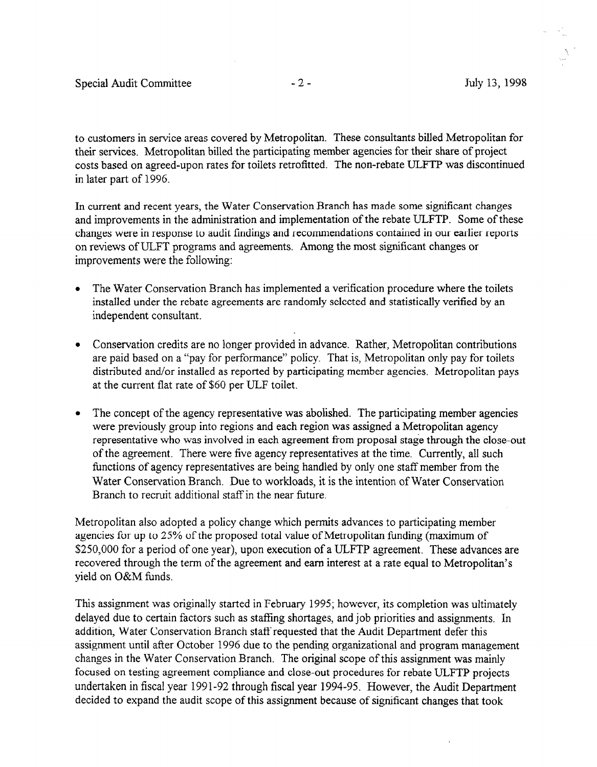to customers in service areas covered by Metropolitan. These consultants billed Metropolitan for their services. Metropolitan billed the participating member agencies for their share of project costs based on agreed-upon rates for toilets retrofitted. The non-rebate ULFTP was discontinued in later part of 1996.

In current and recent years, the Water Conservation Branch has made some significant changes and improvements in the administration and implementation of the rebate ULFTP. Some of these changes were in response to audit findings and recommendations contained in our earlier reports on reviews of ULFT programs and agreements. Among the most significant changes or improvements were the following:

- The Water Conservation Branch has implemented a verification procedure where the toilets installed under the rebate agreements are randomly selected and statistically verified by an independent consultant.
- Conservation credits are no longer provided in advance. Rather, Metropolitan contributions are paid based on a "pay for performance" policy. That is, Metropolitan only pay for toilets distributed and/or installed as reported by participating member agencies. Metropolitan pays at the current flat rate of \$60 per ULF toilet.
- $\bullet$  The concept of the agency representative was abolished. The participating member agencies were previously group into regions and each region was assigned a Metropolitan agency representative who was involved in each agreement from proposal stage through the close-out of the agreement. There were five agency representatives at the time. Currently, all such functions of agency representatives are being handled by only one staff member from the Water Conservation Branch. Due to workloads, it is the intention of Water Conservation Branch to recruit additional staff in the near future.

Metropolitan also adopted a policy change which permits advances to participating member agencies for up to 25% of the proposed total value of Metropolitan funding (maximum of \$250,000 for a period of one year), upon execution of a ULFTP agreement. These advances are recovered through the term of the agreement and earn interest at a rate equal to Metropolitan's yield on O&M funds.

This assignment was originally started in February 1995; however, its completion was ultimately delayed due to certain factors such as staffing shortages, and job priorities and assignments. In addition, Water Conservation Branch staff requested that the Audit Department defer this assignment until after October 1996 due to the pending organizational and program management changes in the Water Conservation Branch. The original scope of this assignment was mainly focused on testing agreement compliance and close-out procedures for rebate ULFTP projects undertaken in fiscal year 1991-92 through fiscal year 1994-95. However, the Audit Department decided to expand the audit scope of this assignment because of significant changes that took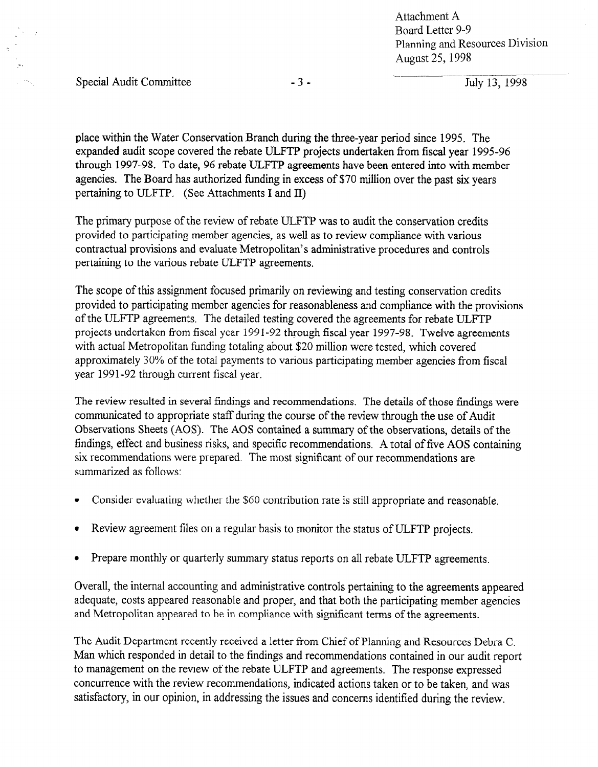Attachment A Board Letter 9-9 Planning and Resources Division August 25,199s

..\_ ~ . . . ..\_\_.\_\_..\_..... ---\_----~- \_\_~ July 13, 1998

place within the Water Conservation Branch during the three-year period since 1995. The expanded audit scope covered the rebate ULFTP projects undertaken from fiscal year 1995-96 through 1997-98. To date, 96 rebate ULFTP agreements have been entered into with member agencies. The Board has authorized funding in excess of \$70 million over the past six years pertaining to ULFTP. (See Attachments I and II)

The primary purpose of the review of rebate ULFTP was to audit the conservation credits provided to participating member agencies, as well as to review compliance with various contractual provisions and evaluate Metropolitan's administrative procedures and controls pertaining to the various rebate ULFTP agreements.

The scope of this assignment focused primarily on reviewing and testing conservation credits provided to participating member agencies for reasonableness and compliance with the provisions of the ULFTP agreements. The detailed testing covered the agreements for rebate ULFTP projects undertaken from fiscal year 1991-92 through fiscal year 1997-98. Twelve agreements with actual Metropolitan funding totaling about \$20 million were tested, which covered approximately 30% of the total payments to various participating member agencies from fiscal year 1991-92 through current fiscal year.

The review resulted in several findings and recommendations. The details of those findings were communication to appropriate the communications. The uctans of those midings Observations Sheets (AOS). The AOS contained a summary of the observations, details of the  $\sigma$  business rations shows  $(x\omega\omega)$ . The  $x\omega\omega$  contained a summary of the observations, details of the  $\mu$  recommendations,  $\mu$  recommendations. A fold of live AOS  $\mu$ six recommendations were prepared. The most significant of our recommendations are summarized as follows:

- Consider evaluating whether the \$60 contribution rate is still appropriate and reasonable.
- Review agreement files on a regular basis to monitor the status of ULFTP projects.  $\bullet$
- Prepare monthly or quarterly summary status reports on all rebate ULFTP agreements.  $\bullet$

Overall, the internal accounting and administrative controls pertaining to the agreements appeared adequate, costs appeared reasonable and proper, and that both the participating member agencies. and Metropolitan appeared to be in compliance with significant terms of the agreements.

The Audit Department recently received a letter from Chief of Planning and Resources Debra C. Man which responded in detail to the findings and recommendations contained in our audit report to management on the review of the rebate ULFTP and agreements. The response expressed concurrence with the review recommendations, indicated actions taken or to be taken, and was satisfactory, in our opinion, in addressing the issues and concerns identified during the review.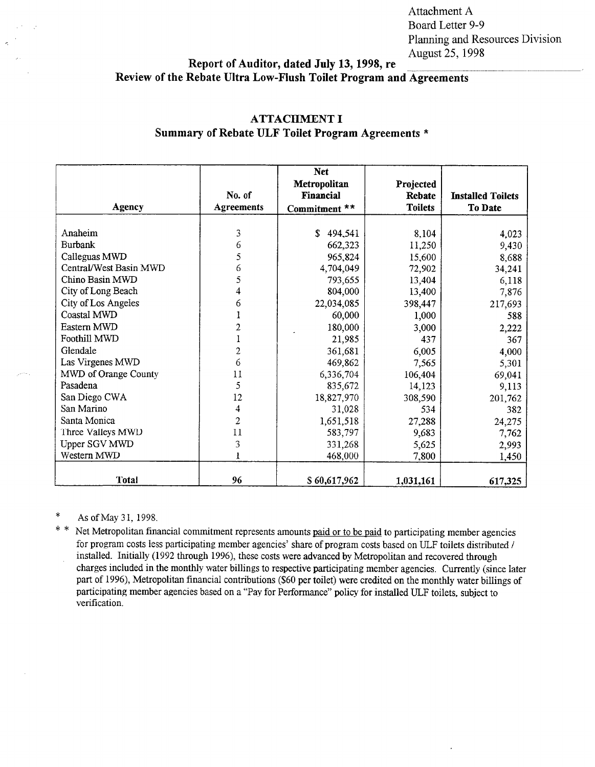Attachment A Board Letter 9-9 Planning and Resources Division August 25,1998

# Report of Auditor, dated July 13,1998, re Review of the Rebate Ultra Low-Flush Toilet Program and Agreements

| Agency                 | No. of<br><b>Agreements</b> | <b>Net</b><br>Metropolitan<br>Financial<br>Commitment ** | Projected<br>Rebate<br><b>Toilets</b> | <b>Installed Toilets</b><br>To Date |
|------------------------|-----------------------------|----------------------------------------------------------|---------------------------------------|-------------------------------------|
|                        |                             |                                                          |                                       |                                     |
| Anaheim                | 3                           | 494,541<br>S.                                            | 8,104                                 | 4,023                               |
| <b>Burbank</b>         | 6                           | 662,323                                                  | 11,250                                | 9,430                               |
| Calleguas MWD          | 5                           | 965,824                                                  | 15,600                                | 8,688                               |
| Central/West Basin MWD | 6                           | 4,704,049                                                | 72,902                                | 34,241                              |
| Chino Basin MWD        | 5                           | 793,655                                                  | 13,404                                | 6,118                               |
| City of Long Beach     | 4                           | 804,000                                                  | 13,400                                | 7,876                               |
| City of Los Angeles    | 6                           | 22,034,085                                               | 398,447                               | 217,693                             |
| Coastal MWD            |                             | 60,000                                                   | 1,000                                 | 588                                 |
| Eastern MWD            | $\overline{c}$              | 180,000                                                  | 3,000                                 | 2,222                               |
| Foothill MWD           |                             | 21,985                                                   | 437                                   | 367                                 |
| Glendale               | $\overline{\mathbf{c}}$     | 361,681                                                  | 6,005                                 | 4,000                               |
| Las Virgenes MWD       | 6                           | 469,862                                                  | 7,565                                 | 5,301                               |
| MWD of Orange County   | 11                          | 6,336,704                                                | 106,404                               | 69,041                              |
| Pasadena               | 5                           | 835,672                                                  | 14,123                                | 9,113                               |
| San Diego CWA          | 12                          | 18,827,970                                               | 308,590                               | 201,762                             |
| San Marino             | 4                           | 31,028                                                   | 534                                   | 382                                 |
| Santa Monica           | 2                           | 1,651,518                                                | 27,288                                | 24,275                              |
| Three Valleys MWD      | 11                          | 583,797                                                  | 9,683                                 | 7,762                               |
| Upper SGV MWD          | 3                           | 331,268                                                  | 5,625                                 | 2,993                               |
| Western MWD            | 1                           | 468,000                                                  | 7,800                                 | 1,450                               |
|                        |                             |                                                          |                                       |                                     |
| Total                  | 96                          | \$60,617,962                                             | 1,031,161                             | 617,325                             |

# ATTACHMENT I Summary of Rebate ULF Toilet Program Agreements \*

\* As of May 3 1, 1998.

\* \* Net Metropolitan financial commitment represents amounts paid or to be paid to participating member agencies for program costs less participating member agencies' share of program costs based on ULF toilets distributed / installed. Initially (1992 through 1996), these costs were advanced by Metropolitan and recovered through charges included in the monthly water billings to respective participating member agencies, Currently (since later part of 1996), Metropolitan financial contributions (\$60 per toilet) were credited on the monthly water billings of participating member agencies based on a "Pay for Performance" policy for installed ULF toilets, subject to verification.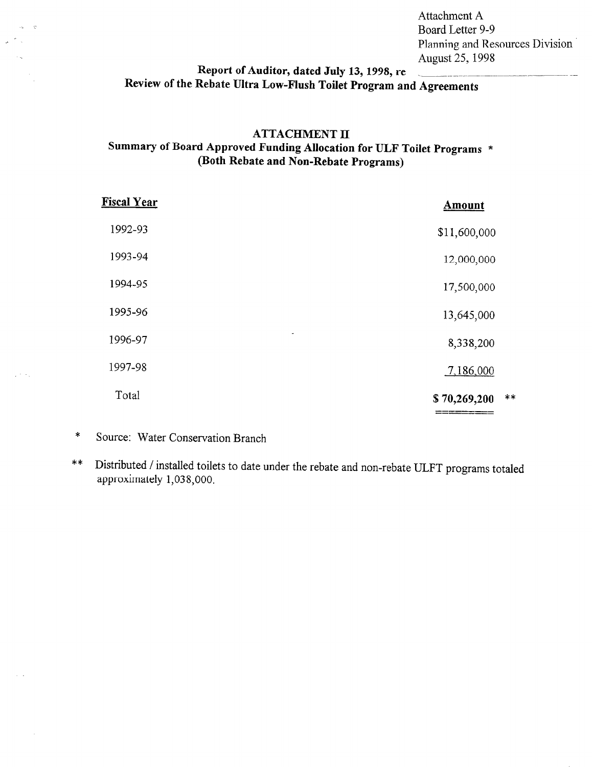Attachment A Board Letter 9-9 Planning and Resources Division August 25,199s

# Report of Auditor, dated July 13, 1998, re Review of the Rebate Ultra Low-Flush Toilet Program and Agreements

# **ATTACHMENT II** Summary of Board Approved Funding Allocation for ULF Toilet Programs \* (Both Rebate and Non-Rebate Programs)

| Fiscal Year  | <b>Amount</b>                  |
|--------------|--------------------------------|
| 1992-93      | \$11,600,000                   |
| 1993-94      | 12,000,000                     |
| 1994-95      | 17,500,000                     |
| 1995-96      | 13,645,000                     |
| ٠<br>1996-97 | 8,338,200                      |
| 1997-98      | 7,186,000                      |
| Total        | $**$<br>\$70,269,200<br>====== |

\* Source: Water Conservation Branch

 $\mathcal{A}$ 

 $\frac{1}{2}$  ,  $\frac{1}{2}$  ,  $\frac{1}{2}$ 

\*\* Distributed / installed toilets to date under the rebate and non-rebate ULFT programs totaled approximately 1,038,OOO.